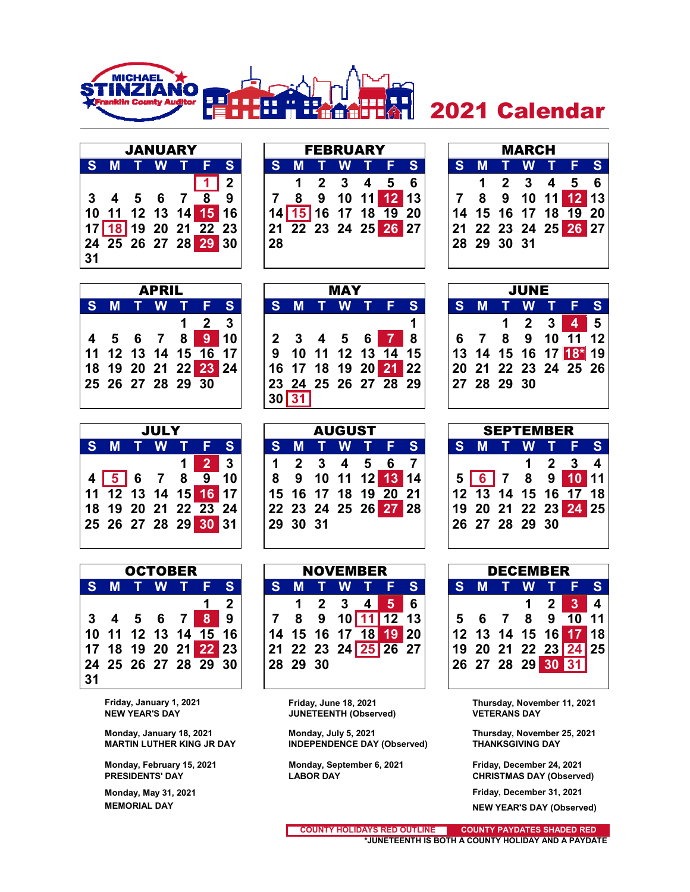

## 2021 Calendar

|    | <b>JANUARY</b> |  |                      |   |
|----|----------------|--|----------------------|---|
| S  | M T W T F      |  |                      | S |
|    |                |  | $3$ 4 5 6 7 $8$ 9    |   |
|    |                |  |                      |   |
|    |                |  |                      |   |
|    |                |  | 17 18 19 20 21 22 23 |   |
|    |                |  | 24 25 26 27 28 29 30 |   |
| 31 |                |  |                      |   |

|    |  | <b>JANUARY</b> |                      |              |    |  | <b>FEBRUARY</b> |                                                   |  |             | <b>MARCH</b> |                      |  |
|----|--|----------------|----------------------|--------------|----|--|-----------------|---------------------------------------------------|--|-------------|--------------|----------------------|--|
|    |  |                | S M T W T F S        |              |    |  |                 | S M T W T F S                                     |  |             |              | S M T W T F S        |  |
|    |  |                |                      | $\mathbf{2}$ |    |  |                 | 1 2 3 4 5 6                                       |  |             |              | 1 2 3 4 5 6          |  |
|    |  |                | 3 4 5 6 7 8 9        |              |    |  |                 | 7 8 9 10 11 12 13                                 |  |             |              |                      |  |
|    |  |                |                      |              |    |  |                 | $14\overline{15}16\overline{17}18\overline{19}20$ |  |             |              | 14 15 16 17 18 19 20 |  |
|    |  |                | 17 18 19 20 21 22 23 |              |    |  |                 | 21 22 23 24 25 26 27                              |  |             |              | 21 22 23 24 25 26 27 |  |
|    |  |                | 24 25 26 27 28 29 30 |              | 28 |  |                 |                                                   |  | 28 29 30 31 |              |                      |  |
| 31 |  |                |                      |              |    |  |                 |                                                   |  |             |              |                      |  |

|   |   |             | <b>MARCH</b>                |                      |                 |
|---|---|-------------|-----------------------------|----------------------|-----------------|
| S | M |             | T W T                       | 7 E                  | $\blacklozenge$ |
|   |   |             | $2 \quad 3 \quad 4 \quad 5$ |                      | $6\phantom{1}$  |
|   | 8 |             |                             | 9 10 11 12 13        |                 |
|   |   |             |                             | 14 15 16 17 18 19 20 |                 |
|   |   |             |                             | 21 22 23 24 25 26 27 |                 |
|   |   | 28 29 30 31 |                             |                      |                 |
|   |   |             |                             |                      |                 |

| <b>APRIL</b> |  |  |                   |                      |    |  |  |  |  |
|--------------|--|--|-------------------|----------------------|----|--|--|--|--|
|              |  |  | S M T W T F       |                      | S) |  |  |  |  |
|              |  |  |                   | $1 \quad 2 \quad 3$  |    |  |  |  |  |
|              |  |  |                   | 4 5 6 7 8 9 10       |    |  |  |  |  |
|              |  |  |                   | 11 12 13 14 15 16 17 |    |  |  |  |  |
|              |  |  |                   | 18 19 20 21 22 23 24 |    |  |  |  |  |
|              |  |  | 25 26 27 28 29 30 |                      |    |  |  |  |  |
|              |  |  |                   |                      |    |  |  |  |  |

|     | <b>APRIL</b> |                      |              |    |     | <b>MAY</b> |                      |  |             |  | <b>JUNE</b>         |  |                      |  |
|-----|--------------|----------------------|--------------|----|-----|------------|----------------------|--|-------------|--|---------------------|--|----------------------|--|
| S M | T W T        |                      | <b>S</b>     |    | S M |            | <b>TWTFS</b>         |  | S M         |  |                     |  | TWTFS                |  |
|     |              |                      | $\mathbf{3}$ |    |     |            |                      |  |             |  | $1 \quad 2 \quad 3$ |  | 4 5                  |  |
|     | 4 5 6 7 8    | -9                   | l 10         |    |     |            | 2 3 4 5 6 7          |  |             |  |                     |  | 6 7 8 9 10 11 12     |  |
|     |              | 11 12 13 14 15 16 17 |              |    |     |            | 9 10 11 12 13 14 15  |  |             |  |                     |  | 13 14 15 16 17 18 19 |  |
|     |              |                      |              |    |     |            | 16 17 18 19 20 21 22 |  |             |  |                     |  | 20 21 22 23 24 25 26 |  |
|     |              | 25 26 27 28 29 30    |              |    |     |            | 23 24 25 26 27 28 29 |  | 27 28 29 30 |  |                     |  |                      |  |
|     |              |                      |              | 30 |     |            |                      |  |             |  |                     |  |                      |  |



|    |   |  | <b>OCTOBER</b> |                                   |              |
|----|---|--|----------------|-----------------------------------|--------------|
| S  | M |  | T W T F        |                                   | S            |
|    |   |  |                | 1                                 | $\mathbf{2}$ |
|    |   |  |                | 3 4 5 6 7 8 9                     |              |
|    |   |  |                | 10 11 12 13 14 15 16              |              |
|    |   |  |                | 17 18 19 20 21 <mark>22</mark> 23 |              |
|    |   |  |                | 24 25 26 27 28 29 30              |              |
| 31 |   |  |                |                                   |              |

|                                   | <b>JULY</b> |  |              |  |          | <b>AUGUST</b> |                      |  |                                                  | <b>SEPTEMBER</b> |                                       |                         |
|-----------------------------------|-------------|--|--------------|--|----------|---------------|----------------------|--|--------------------------------------------------|------------------|---------------------------------------|-------------------------|
| <b>S M T W T F S</b>              |             |  |              |  |          |               | S M T W T F S        |  | S M T W T F S'                                   |                  |                                       |                         |
|                                   |             |  | $\mathbf{3}$ |  |          |               | 1 2 3 4 5 6 7        |  |                                                  |                  | $\begin{array}{cc} 1 & 2 \end{array}$ | $\overline{\mathbf{4}}$ |
| $4\overline{5}$ 6 7 8 <u>9</u> 10 |             |  |              |  |          |               | 8 9 10 11 12 13 14   |  | 5 6 7 8 9 10 11                                  |                  |                                       |                         |
|                                   |             |  |              |  |          |               | 15 16 17 18 19 20 21 |  | $12$ $\overline{13}$ 14 15 16 $\overline{17}$ 18 |                  |                                       |                         |
| 18 19 20 21 22 23 24              |             |  |              |  |          |               | 22 23 24 25 26 27 28 |  | 19 20 21 22 23 24 25                             |                  |                                       |                         |
|                                   |             |  |              |  | 29 30 31 |               |                      |  | 26 27 28 29 30                                   |                  |                                       |                         |
|                                   |             |  |              |  |          |               |                      |  |                                                  |                  |                                       |                         |

|     |     | <b>OCTOBER</b> |                      |                | <b>NOVEMBER</b><br>S M T W T F S |          |  |  |  |                      |  |  | <b>DECEMBER</b> |                                |                      |  |
|-----|-----|----------------|----------------------|----------------|----------------------------------|----------|--|--|--|----------------------|--|--|-----------------|--------------------------------|----------------------|--|
|     | S M |                | TWTFS'               |                |                                  |          |  |  |  |                      |  |  |                 |                                | <b>SMTWTFS</b>       |  |
|     |     |                |                      | $\overline{2}$ |                                  |          |  |  |  | 1 2 3 4 5 6          |  |  |                 | $1 \quad 2 \quad \blacksquare$ | $3 \mid 4$           |  |
|     |     |                | 3 4 5 6 7 8 9        |                |                                  |          |  |  |  |                      |  |  |                 |                                | 5 6 7 8 9 10 11      |  |
|     |     |                | 10 11 12 13 14 15 16 |                |                                  |          |  |  |  | 14 15 16 17 18 19 20 |  |  |                 |                                | 12 13 14 15 16 17 18 |  |
|     |     |                | 17 18 19 20 21 22 23 |                |                                  |          |  |  |  | 21 22 23 24 25 26 27 |  |  |                 |                                | 19 20 21 22 23 24 25 |  |
|     |     |                | 24 25 26 27 28 29 30 |                |                                  | 28 29 30 |  |  |  |                      |  |  |                 |                                | 26 27 28 29 30 31    |  |
| n a |     |                |                      |                |                                  |          |  |  |  |                      |  |  |                 |                                |                      |  |

**NETEENTH (Observed) VETERANS DAY** 

Monday, January 18, 2021 **Monday, July 5, 2021** Thursday, November 25, 2021<br>MARTIN LUTHER KING JR DAY **INDEPENDENCE DAY (Observed)** THANKSGIVING DAY **INDEPENDENCE DAY (Observed)** 

**Monday, February 15, 2021 Monday, September 6, 2021 Friday, December 24, 2021**

| <b>SEPTEMBER</b> |  |  |                                         |  |                     |   |  |  |  |
|------------------|--|--|-----------------------------------------|--|---------------------|---|--|--|--|
| ST               |  |  | M T W T F                               |  |                     | S |  |  |  |
|                  |  |  |                                         |  | $1 \quad 2 \quad 3$ |   |  |  |  |
|                  |  |  | 5 6 7 8 9 10 11<br>12 13 14 15 16 17 18 |  |                     |   |  |  |  |
|                  |  |  |                                         |  |                     |   |  |  |  |
|                  |  |  | 19 20 21 22 23 24 25                    |  |                     |   |  |  |  |
|                  |  |  | 26 27 28 29 30                          |  |                     |   |  |  |  |
|                  |  |  |                                         |  |                     |   |  |  |  |

|    | <b>DECEMBER</b> |  |             |  |                      |   |  |  |  |  |  |
|----|-----------------|--|-------------|--|----------------------|---|--|--|--|--|--|
| S. |                 |  | M T W T F   |  |                      | S |  |  |  |  |  |
|    |                 |  | $\mathbf 1$ |  | $2 \quad 3 \quad 4$  |   |  |  |  |  |  |
| 5  |                 |  |             |  | 6 7 8 9 10 11        |   |  |  |  |  |  |
|    |                 |  |             |  | 12 13 14 15 16 17 18 |   |  |  |  |  |  |
|    |                 |  |             |  | 19 20 21 22 23 24 25 |   |  |  |  |  |  |
|    |                 |  |             |  | 26 27 28 29 30 31    |   |  |  |  |  |  |

**Friday, January 1, 2021 Friday, June 18, 2021 Thursday, November 11, 2021**

**PRESIDENTS' DAY LABOR DAY CHRISTMAS DAY (Observed)**

 **Monday, May 31, 2021 Friday, December 31, 2021 MEMORIAL DAY NEW YEAR'S DAY (Observed)**

> **\*JUNETEENTH IS BOTH A COUNTY HOLIDAY AND A PAYDATE COUNTY PAYDATES SHADED RED COUNTY HOLIDAYS RED OUTLINE**